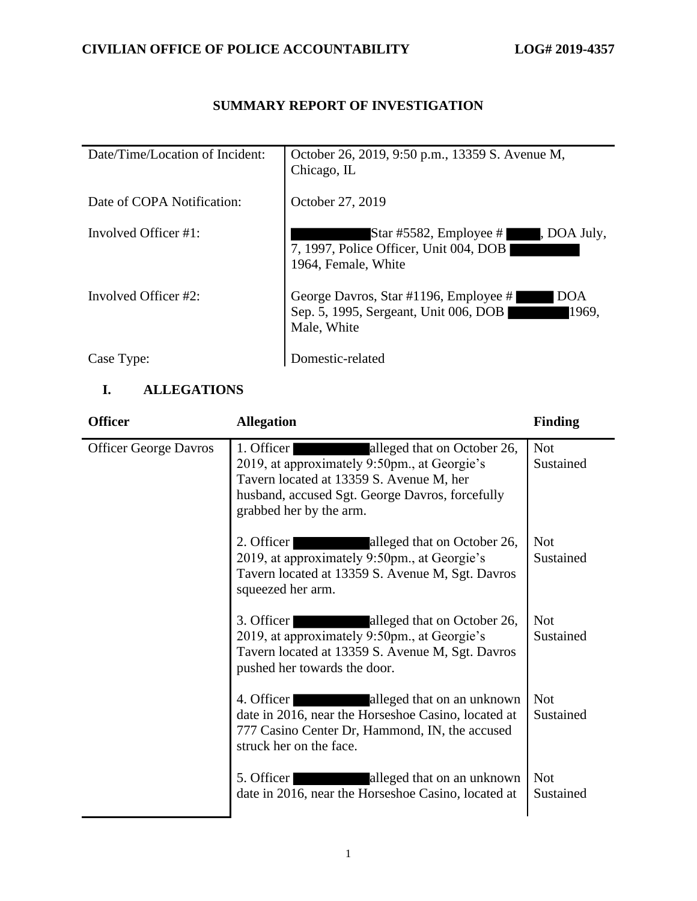## **SUMMARY REPORT OF INVESTIGATION**

| Date/Time/Location of Incident: | October 26, 2019, 9:50 p.m., 13359 S. Avenue M,<br>Chicago, IL                                                |
|---------------------------------|---------------------------------------------------------------------------------------------------------------|
| Date of COPA Notification:      | October 27, 2019                                                                                              |
| Involved Officer $#1$ :         | Star #5582, Employee #<br>, DOA July,<br>7, 1997, Police Officer, Unit 004, DOB<br>1964, Female, White        |
| Involved Officer #2:            | George Davros, Star #1196, Employee #<br>DOA<br>Sep. 5, 1995, Sergeant, Unit 006, DOB<br>1969.<br>Male, White |
| Case Type:                      | Domestic-related                                                                                              |

## **I. ALLEGATIONS**

| <b>Officer</b>               | <b>Allegation</b>                                                                                                                                                                                                   | <b>Finding</b>          |
|------------------------------|---------------------------------------------------------------------------------------------------------------------------------------------------------------------------------------------------------------------|-------------------------|
| <b>Officer George Davros</b> | 1. Officer<br>alleged that on October 26,<br>2019, at approximately 9:50pm., at Georgie's<br>Tavern located at 13359 S. Avenue M, her<br>husband, accused Sgt. George Davros, forcefully<br>grabbed her by the arm. | <b>Not</b><br>Sustained |
|                              | 2. Officer<br>alleged that on October 26,<br>2019, at approximately 9:50pm., at Georgie's<br>Tavern located at 13359 S. Avenue M, Sgt. Davros<br>squeezed her arm.                                                  | <b>Not</b><br>Sustained |
|                              | 3. Officer<br>alleged that on October 26,<br>2019, at approximately 9:50pm., at Georgie's<br>Tavern located at 13359 S. Avenue M, Sgt. Davros<br>pushed her towards the door.                                       | <b>Not</b><br>Sustained |
|                              | alleged that on an unknown<br>4. Officer<br><u> Martin Startin (</u><br>date in 2016, near the Horseshoe Casino, located at<br>777 Casino Center Dr, Hammond, IN, the accused<br>struck her on the face.            | <b>Not</b><br>Sustained |
|                              | 5. Officer<br>alleged that on an unknown<br>date in 2016, near the Horseshoe Casino, located at                                                                                                                     | <b>Not</b><br>Sustained |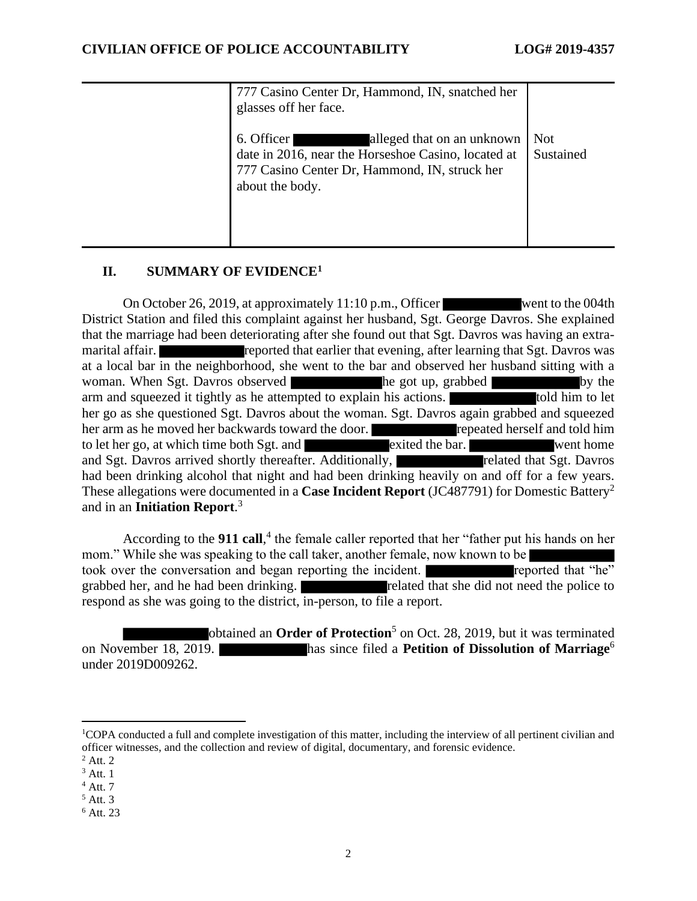| 777 Casino Center Dr, Hammond, IN, snatched her<br>glasses off her face.                                                                                            |                         |
|---------------------------------------------------------------------------------------------------------------------------------------------------------------------|-------------------------|
| alleged that on an unknown<br>6. Officer<br>date in 2016, near the Horseshoe Casino, located at<br>777 Casino Center Dr, Hammond, IN, struck her<br>about the body. | <b>Not</b><br>Sustained |

#### **II. SUMMARY OF EVIDENCE<sup>1</sup>**

On October 26, 2019, at approximately 11:10 p.m., Officer went to the 004th District Station and filed this complaint against her husband, Sgt. George Davros. She explained that the marriage had been deteriorating after she found out that Sgt. Davros was having an extramarital affair. **reported that earlier that evening, after learning that Sgt. Davros was** at a local bar in the neighborhood, she went to the bar and observed her husband sitting with a woman. When Sgt. Davros observed he got up, grabbed by the arm and squeezed it tightly as he attempted to explain his actions. The stold him to let her go as she questioned Sgt. Davros about the woman. Sgt. Davros again grabbed and squeezed her arm as he moved her backwards toward the door. **repeated herself and told him** to let her go, at which time both Sgt. and exited the bar. went home and Sgt. Davros arrived shortly thereafter. Additionally, related that Sgt. Davros had been drinking alcohol that night and had been drinking heavily on and off for a few years. These allegations were documented in a **Case Incident Report** (JC487791) for Domestic Battery<sup>2</sup> and in an **Initiation Report**. 3

According to the **911 call**, 4 the female caller reported that her "father put his hands on her mom." While she was speaking to the call taker, another female, now known to be took over the conversation and began reporting the incident. grabbed her, and he had been drinking. The related that she did not need the police to respond as she was going to the district, in-person, to file a report.

obtained an **Order of Protection**<sup>5</sup> on Oct. 28, 2019, but it was terminated on November 18, 2019. has since filed a **Petition of Dissolution of Marriage**<sup>6</sup> under 2019D009262.

 $<sup>5</sup>$  Att. 3</sup>

<sup>1</sup>COPA conducted a full and complete investigation of this matter, including the interview of all pertinent civilian and officer witnesses, and the collection and review of digital, documentary, and forensic evidence.

 $<sup>2</sup>$  Att. 2</sup>

 $3$  Att. 1

 $<sup>4</sup>$  Att. 7</sup>

<sup>6</sup> Att. 23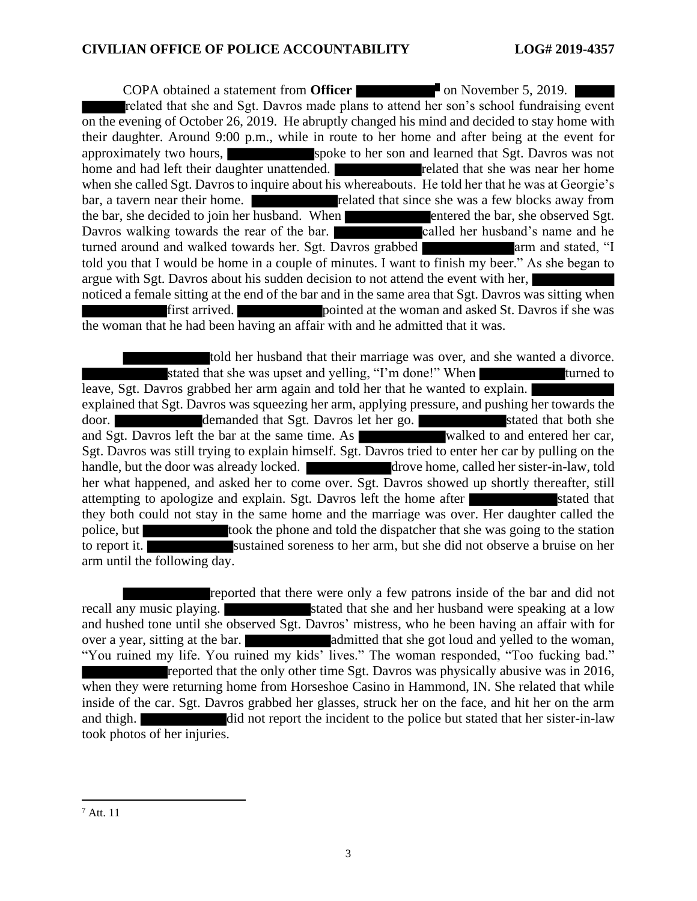**COPA** obtained a statement from **Officer on on** November 5, 2019. related that she and Sgt. Davros made plans to attend her son's school fundraising event on the evening of October 26, 2019. He abruptly changed his mind and decided to stay home with their daughter. Around 9:00 p.m., while in route to her home and after being at the event for approximately two hours, spoke to her son and learned that Sgt. Davros was not home and had left their daughter unattended. The related that she was near her home when she called Sgt. Davros to inquire about his whereabouts. He told her that he was at Georgie's bar, a tavern near their home. related that since she was a few blocks away from the bar, she decided to join her husband. When entered the bar, she observed Sgt. Davros walking towards the rear of the bar. called her husband's name and he turned around and walked towards her. Sgt. Davros grabbed arm and stated, "I told you that I would be home in a couple of minutes. I want to finish my beer." As she began to argue with Sgt. Davros about his sudden decision to not attend the event with her, noticed a female sitting at the end of the bar and in the same area that Sgt. Davros was sitting when first arrived. pointed at the woman and asked St. Davros if she was the woman that he had been having an affair with and he admitted that it was.

told her husband that their marriage was over, and she wanted a divorce. stated that she was upset and yelling, "I'm done!" When turned to leave, Sgt. Davros grabbed her arm again and told her that he wanted to explain. explained that Sgt. Davros was squeezing her arm, applying pressure, and pushing her towards the door. **demanded that Sgt. Davros let her go.** Stated that both she and Sgt. Davros left the bar at the same time. As walked to and entered her car, Sgt. Davros was still trying to explain himself. Sgt. Davros tried to enter her car by pulling on the handle, but the door was already locked. drove home, called her sister-in-law, told her what happened, and asked her to come over. Sgt. Davros showed up shortly thereafter, still attempting to apologize and explain. Sgt. Davros left the home after stated that they both could not stay in the same home and the marriage was over. Her daughter called the police, but took the phone and told the dispatcher that she was going to the station to report it. sustained soreness to her arm, but she did not observe a bruise on her arm until the following day.

reported that there were only a few patrons inside of the bar and did not recall any music playing. Stated that she and her husband were speaking at a low and hushed tone until she observed Sgt. Davros' mistress, who he been having an affair with for over a year, sitting at the bar. and solution admitted that she got loud and yelled to the woman, "You ruined my life. You ruined my kids' lives." The woman responded, "Too fucking bad." reported that the only other time Sgt. Davros was physically abusive was in 2016, when they were returning home from Horseshoe Casino in Hammond, IN. She related that while inside of the car. Sgt. Davros grabbed her glasses, struck her on the face, and hit her on the arm and thigh. did not report the incident to the police but stated that her sister-in-law took photos of her injuries.

<sup>7</sup> Att. 11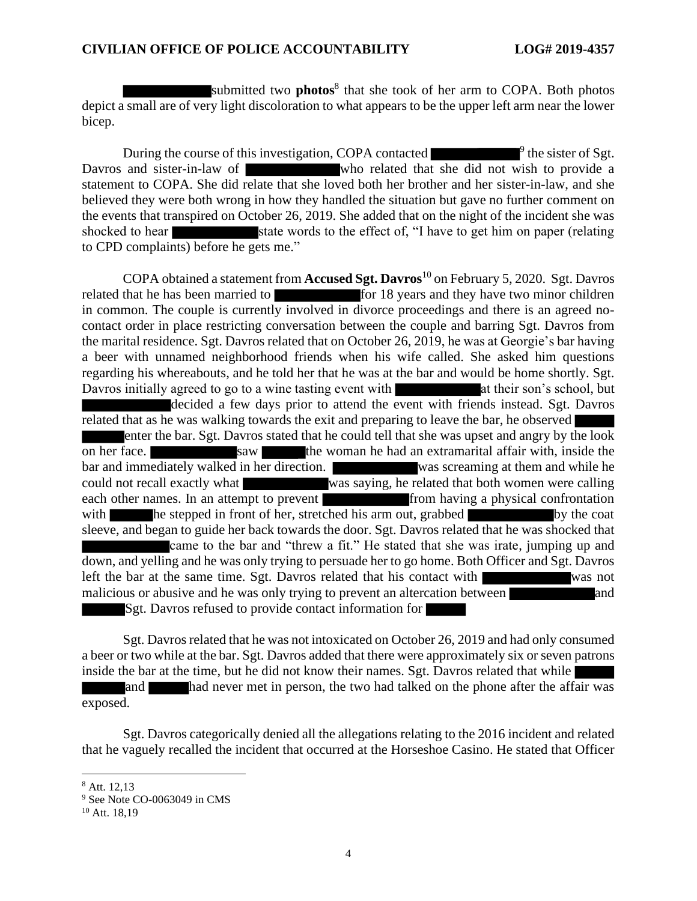submitted two **photos**<sup>8</sup> that she took of her arm to COPA. Both photos depict a small are of very light discoloration to what appears to be the upper left arm near the lower bicep.

During the course of this investigation, COPA contacted <sup>9</sup> the sister of Sgt. Davros and sister-in-law of who related that she did not wish to provide a statement to COPA. She did relate that she loved both her brother and her sister-in-law, and she believed they were both wrong in how they handled the situation but gave no further comment on the events that transpired on October 26, 2019. She added that on the night of the incident she was shocked to hear state words to the effect of, "I have to get him on paper (relating to CPD complaints) before he gets me."

COPA obtained a statement from **Accused Sgt. Davros**<sup>10</sup> on February 5, 2020. Sgt. Davros related that he has been married to for 18 years and they have two minor children in common. The couple is currently involved in divorce proceedings and there is an agreed nocontact order in place restricting conversation between the couple and barring Sgt. Davros from the marital residence. Sgt. Davros related that on October 26, 2019, he was at Georgie's bar having a beer with unnamed neighborhood friends when his wife called. She asked him questions regarding his whereabouts, and he told her that he was at the bar and would be home shortly. Sgt. Davros initially agreed to go to a wine tasting event with at their son's school, but decided a few days prior to attend the event with friends instead. Sgt. Davros related that as he was walking towards the exit and preparing to leave the bar, he observed enter the bar. Sgt. Davros stated that he could tell that she was upset and angry by the look on her face. Saw the woman he had an extramarital affair with, inside the bar and immediately walked in her direction. Was screaming at them and while he could not recall exactly what was saying, he related that both women were calling each other names. In an attempt to prevent from having a physical confrontation with he stepped in front of her, stretched his arm out, grabbed by the coat sleeve, and began to guide her back towards the door. Sgt. Davros related that he was shocked that came to the bar and "threw a fit." He stated that she was irate, jumping up and down, and yelling and he was only trying to persuade her to go home. Both Officer and Sgt. Davros left the bar at the same time. Sgt. Davros related that his contact with was not malicious or abusive and he was only trying to prevent an altercation between and Sgt. Davros refused to provide contact information for

Sgt. Davros related that he was not intoxicated on October 26, 2019 and had only consumed a beer or two while at the bar. Sgt. Davros added that there were approximately six or seven patrons inside the bar at the time, but he did not know their names. Sgt. Davros related that while and had never met in person, the two had talked on the phone after the affair was exposed.

Sgt. Davros categorically denied all the allegations relating to the 2016 incident and related that he vaguely recalled the incident that occurred at the Horseshoe Casino. He stated that Officer

<sup>8</sup> Att. 12,13

<sup>&</sup>lt;sup>9</sup> See Note CO-0063049 in CMS

<sup>&</sup>lt;sup>10</sup> Att. 18,19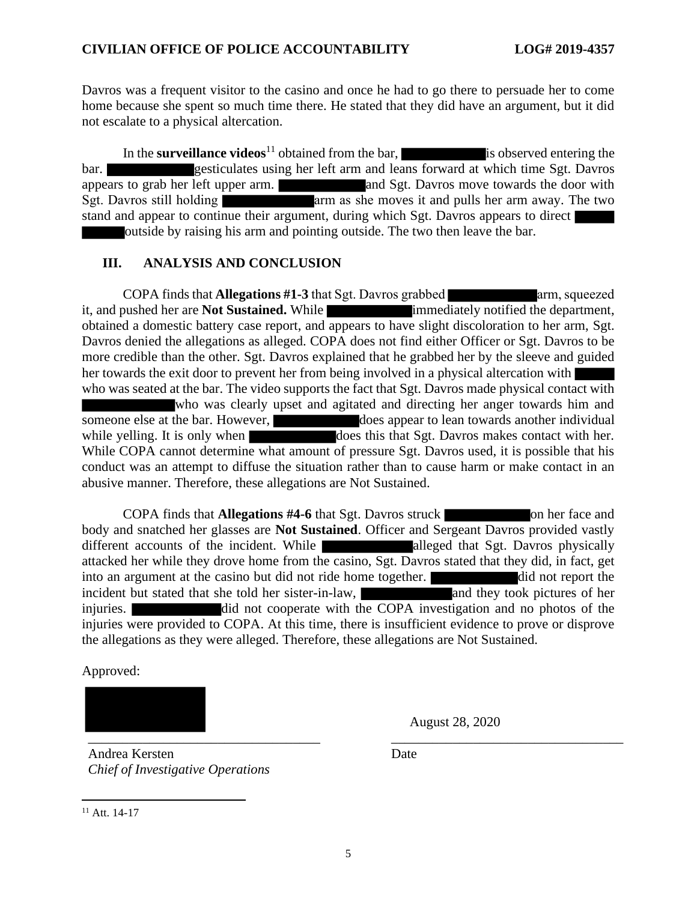Davros was a frequent visitor to the casino and once he had to go there to persuade her to come home because she spent so much time there. He stated that they did have an argument, but it did not escalate to a physical altercation.

In the **surveillance videos**<sup>11</sup> obtained from the bar, is observed entering the bar. gesticulates using her left arm and leans forward at which time Sgt. Davros appears to grab her left upper arm. and Sgt. Davros move towards the door with Sgt. Davros still holding arm as she moves it and pulls her arm away. The two stand and appear to continue their argument, during which Sgt. Davros appears to direct outside by raising his arm and pointing outside. The two then leave the bar.

#### **III. ANALYSIS AND CONCLUSION**

COPA finds that **Allegations** #1-3 that Sgt. Davros grabbed arm, squeezed it, and pushed her are **Not Sustained.** While **immediately notified the department**, obtained a domestic battery case report, and appears to have slight discoloration to her arm, Sgt. Davros denied the allegations as alleged. COPA does not find either Officer or Sgt. Davros to be more credible than the other. Sgt. Davros explained that he grabbed her by the sleeve and guided her towards the exit door to prevent her from being involved in a physical altercation with who was seated at the bar. The video supports the fact that Sgt. Davros made physical contact with who was clearly upset and agitated and directing her anger towards him and someone else at the bar. However, does appear to lean towards another individual while yelling. It is only when does this that Sgt. Davros makes contact with her. While COPA cannot determine what amount of pressure Sgt. Davros used, it is possible that his conduct was an attempt to diffuse the situation rather than to cause harm or make contact in an abusive manner. Therefore, these allegations are Not Sustained.

**COPA finds that Allegations #4-6** that Sgt. Davros struck on her face and body and snatched her glasses are **Not Sustained**. Officer and Sergeant Davros provided vastly different accounts of the incident. While alleged that Sgt. Davros physically attacked her while they drove home from the casino, Sgt. Davros stated that they did, in fact, get into an argument at the casino but did not ride home together. **did not report the** incident but stated that she told her sister-in-law, and they took pictures of her injuries. did not cooperate with the COPA investigation and no photos of the injuries were provided to COPA. At this time, there is insufficient evidence to prove or disprove the allegations as they were alleged. Therefore, these allegations are Not Sustained.

Approved:

\_\_\_\_\_\_\_\_\_\_\_\_\_\_\_\_\_\_\_\_\_\_\_\_\_\_\_\_\_\_\_\_\_\_ \_\_\_\_\_\_\_\_\_\_\_\_\_\_\_\_\_\_\_\_\_\_\_\_\_\_\_\_\_\_\_\_\_\_

August 28, 2020

Andrea Kersten *Chief of Investigative Operations* Date

 $11$  Att. 14-17